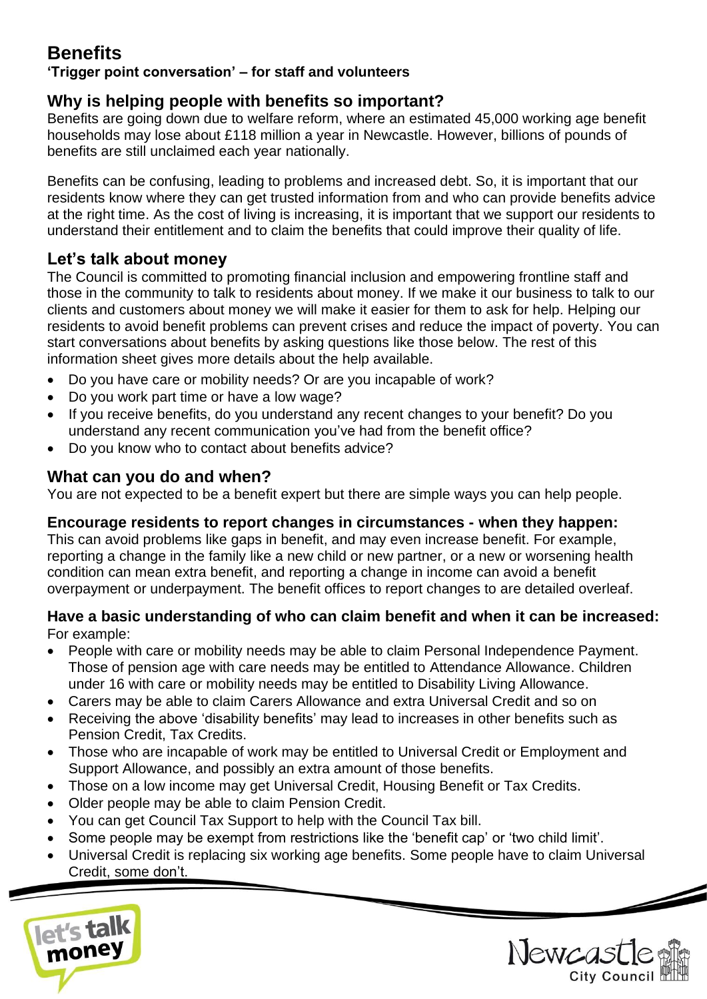# **Benefits**

## **'Trigger point conversation' – for staff and volunteers**

## **Why is helping people with benefits so important?**

Benefits are going down due to welfare reform, where an estimated 45,000 working age benefit households may lose about £118 million a year in Newcastle. However, billions of pounds of benefits are still unclaimed each year nationally.

Benefits can be confusing, leading to problems and increased debt. So, it is important that our residents know where they can get trusted information from and who can provide benefits advice at the right time. As the cost of living is increasing, it is important that we support our residents to understand their entitlement and to claim the benefits that could improve their quality of life.

## **Let's talk about money**

The Council is committed to promoting financial inclusion and empowering frontline staff and those in the community to talk to residents about money. If we make it our business to talk to our clients and customers about money we will make it easier for them to ask for help. Helping our residents to avoid benefit problems can prevent crises and reduce the impact of poverty. You can start conversations about benefits by asking questions like those below. The rest of this information sheet gives more details about the help available.

- Do you have care or mobility needs? Or are you incapable of work?
- Do you work part time or have a low wage?
- If you receive benefits, do you understand any recent changes to your benefit? Do you understand any recent communication you've had from the benefit office?
- Do you know who to contact about benefits advice?

## **What can you do and when?**

You are not expected to be a benefit expert but there are simple ways you can help people.

## **Encourage residents to report changes in circumstances - when they happen:**

This can avoid problems like gaps in benefit, and may even increase benefit. For example, reporting a change in the family like a new child or new partner, or a new or worsening health condition can mean extra benefit, and reporting a change in income can avoid a benefit overpayment or underpayment. The benefit offices to report changes to are detailed overleaf.

#### **Have a basic understanding of who can claim benefit and when it can be increased:** For example:

- People with care or mobility needs may be able to claim Personal Independence Payment. Those of pension age with care needs may be entitled to Attendance Allowance. Children under 16 with care or mobility needs may be entitled to Disability Living Allowance.
- Carers may be able to claim Carers Allowance and extra Universal Credit and so on
- Receiving the above 'disability benefits' may lead to increases in other benefits such as Pension Credit, Tax Credits.
- Those who are incapable of work may be entitled to Universal Credit or Employment and Support Allowance, and possibly an extra amount of those benefits.
- Those on a low income may get Universal Credit, Housing Benefit or Tax Credits.
- Older people may be able to claim Pension Credit.
- You can get Council Tax Support to help with the Council Tax bill.
- Some people may be exempt from restrictions like the 'benefit cap' or 'two child limit'.
- Universal Credit is replacing six working age benefits. Some people have to claim Universal Credit, some don't.